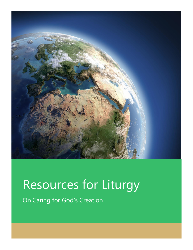

# Resources for Liturgy

On Caring for God's Creation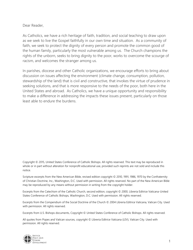Dear Reader,

As Catholics, we have a rich heritage of faith, tradition, and social teaching to draw upon as we seek to live the Gospel faithfully in our own time and situation. As a community of faith, we seek to protect the dignity of every person and promote the common good of the human family, particularly the most vulnerable among us. The Church champions the rights of the unborn, seeks to bring dignity to the poor, works to overcome the scourge of racism, and welcomes the stranger among us.

In parishes, diocese and other Catholic organizations, we encourage efforts to bring about discussion on issues affecting the environment (climate change, consumption, pollution, stewardship of the land) that is civil and constructive, that invokes the virtue of prudence in seeking solutions, and that is more responsive to the needs of the poor, both here in the United States and abroad. As Catholics, we have a unique opportunity and responsibility to make a difference in addressing the impacts these issues present, particularly on those least able to endure the burdens.

Copyright © 2015, United States Conference of Catholic Bishops. All rights reserved. This text may be reproduced in whole or in part without alteration for nonprofit educational use, provided such reprints are not sold and include this notice.

Scripture excerpts from the New American Bible, revised edition copyright © 2010, 1991, 1986, 1970 by the Confraternity of Christian Doctrine, Inc., Washington, D.C. Used with permission. All rights reserved. No part of the New American Bible may be reproduced by any means without permission in writing from the copyright holder.

Excerpts from the Catechism of the Catholic Church, second edition, copyright © 2000, Libreria Editrice Vaticana-United States Conference of Catholic Bishops, Washington, D.C. Used with permission. All rights reserved.

Excerpts from the Compendium of the Social Doctrine of the Church © 2004 Libreria Editrice Vaticana, Vatican City. Used with permission. All rights reserved.

Excerpts from U.S. Bishops documents, Copyright © United States Conference of Catholic Bishops. All rights reserved.

All quotes from Popes and Vatican sources, copyright © Libreria Editrice Vaticana (LEV), Vatican City. Used with permission. All rights reserved.

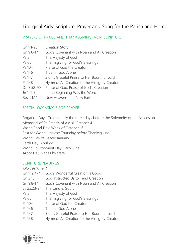# Liturgical Aids: Scripture, Prayer and Song for the Parish and Home

### PRAYERS OF PRAISE AND THANKSGIVING FROM SCRIPTURE

| Gn 1:1-28       | <b>Creation Story</b>                        |
|-----------------|----------------------------------------------|
| Gn 9:8-17       | God's Covenant with Noah and All Creation    |
| Ps <sub>8</sub> | The Majesty of God                           |
| Ps 65           | Thanksgiving for God's Blessings             |
| Ps 104          | Praise of God the Creator                    |
| Ps 146          | Trust in God Alone                           |
| Ps 147          | Zion's Grateful Praise to Her Bountiful Lord |
| Ps 148          | Hymn of All Creation to the Almighty Creator |
| Dn 3:52-90      | Praise of God; Praise of God's Creation      |
| Jn 1: 1-5       | In the Beginning Was the Word                |
| Rev 21:14       | New Heavens and New Earth                    |

#### SPECIAL OCCASIONS FOR PRAYER

Rogation Days: Traditionally the three days before the Solemnity of the Ascension Memorial of St. Francis of Assisi: October 4 World Food Day: Week of October 16 Fast for World Harvest: Thursday before Thanksgiving World Day of Peace: January 1 Earth Day: April 22 World Environment Day: Early June Arbor Day: Varies by state

#### SCRIPTURE READINGS

Old Testament

- Gn 1; 2:4-7 God's Wonderful Creation Is Good Gn 2:15 God Instructed Us to Tend Creation Gn 9:8-17 God's Covenant with Noah and All Creation
- 
- Lv 25:23-24 The Land Is God's
- Ps 8 The Majesty of God
- Ps 65 Thanksgiving for God's Blessings
- Ps 104 Praise of God the Creator
- Ps 146 Trust in God Alone
- Ps 147 Zion's Grateful Praise to Her Bountiful Lord
- Ps 148 Hymn of All Creation to the Almighty Creator

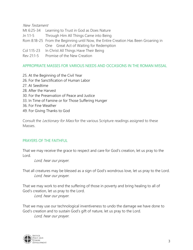### New Testament

- Mt 6:25-34 Learning to Trust in God as Does Nature
- Jn 1:1-5 Through Him All Things Came into Being
- Rom 8:18-25 From the Beginning until Now, the Entire Creation Has Been Groaning in One Great Act of Waiting for Redemption
- Col 1:15-23 In Christ All Things Have Their Being
- Rev 21:1-5 Promise of the New Creation

## APPROPRIATE MASSES FOR VARIOUS NEEDS AND OCCASIONS IN THE ROMAN MISSAL

- 25. At the Beginning of the Civil Year
- 26. For the Sanctification of Human Labor
- 27. At Seedtime
- 28. After the Harvest
- 30. For the Preservation of Peace and Justice
- 33. In Time of Famine or for Those Suffering Hunger
- 36. For Fine Weather
- 49. For Giving Thanks to God

Consult the *Lectionary for Mass* for the various Scripture readings assigned to these Masses.

# PRAYERS OF THE FAITHFUL

That we may receive the grace to respect and care for God's creation, let us pray to the Lord.

Lord, hear our prayer.

That all creatures may be blessed as a sign of God's wondrous love, let us pray to the Lord. Lord, hear our prayer.

That we may work to end the suffering of those in poverty and bring healing to all of God's creation, let us pray to the Lord.

Lord, hear our prayer.

That we may use our technological inventiveness to undo the damage we have done to God's creation and to sustain God's gift of nature, let us pray to the Lord. Lord, hear our prayer.

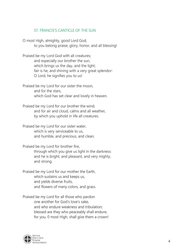### ST. FRANCIS'S CANTICLE OF THE SUN

O most High, almighty, good Lord God, to you belong praise, glory, honor, and all blessing!

Praised be my Lord God with all creatures; and especially our brother the sun, which brings us the day, and the light; fair is he, and shining with a very great splendor: O Lord, he signifies you to us!

Praised be my Lord for our sister the moon, and for the stars, which God has set clear and lovely in heaven.

Praised be my Lord for our brother the wind, and for air and cloud, calms and all weather, by which you uphold in life all creatures.

Praised be my Lord for our sister water, which is very serviceable to us, and humble, and precious, and clean.

Praised be my Lord for brother fire, through which you give us light in the darkness: and he is bright, and pleasant, and very mighty, and strong.

Praised be my Lord for our mother the Earth, which sustains us and keeps us, and yields diverse fruits, and flowers of many colors, and grass.

Praised be my Lord for all those who pardon one another for God's love's sake, and who endure weakness and tribulation; blessed are they who peaceably shall endure, for you, 0 most High, shall give them a crown!

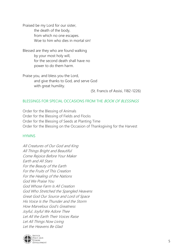Praised be my Lord for our sister, the death of the body, from which no one escapes. Woe to him who dies in mortal sin!

Blessed are they who are found walking by your most holy will, for the second death shall have no power to do them harm.

Praise you, and bless you the Lord, and give thanks to God, and serve God with great humility.

(St. Francis of Assisi, 1182-1226)

#### BLESSINGS FOR SPECIAL OCCASIONS FROM THE BOOK OF BLESSINGS

Order for the Blessing of Animals Order for the Blessing of Fields and Flocks Order for the Blessing of Seeds at Planting Time Order for the Blessing on the Occasion of Thanksgiving for the Harvest

#### **HYMNS**

All Creatures of Our God and King All Things Bright and Beautiful Come Rejoice Before Your Maker Earth and All Stars For the Beauty of the Earth For the Fruits of This Creation For the Healing of the Nations God We Praise You God Whose Farm Is All Creation God Who Stretched the Spangled Heavens Great God Our Source and Lord of Space His Voice Is the Thunder and the Storm How Marvelous God's Greatness Joyful, Joyful We Adore Thee Let All the Earth Their Voices Raise Let All Things Now Living Let the Heavens Be Glad